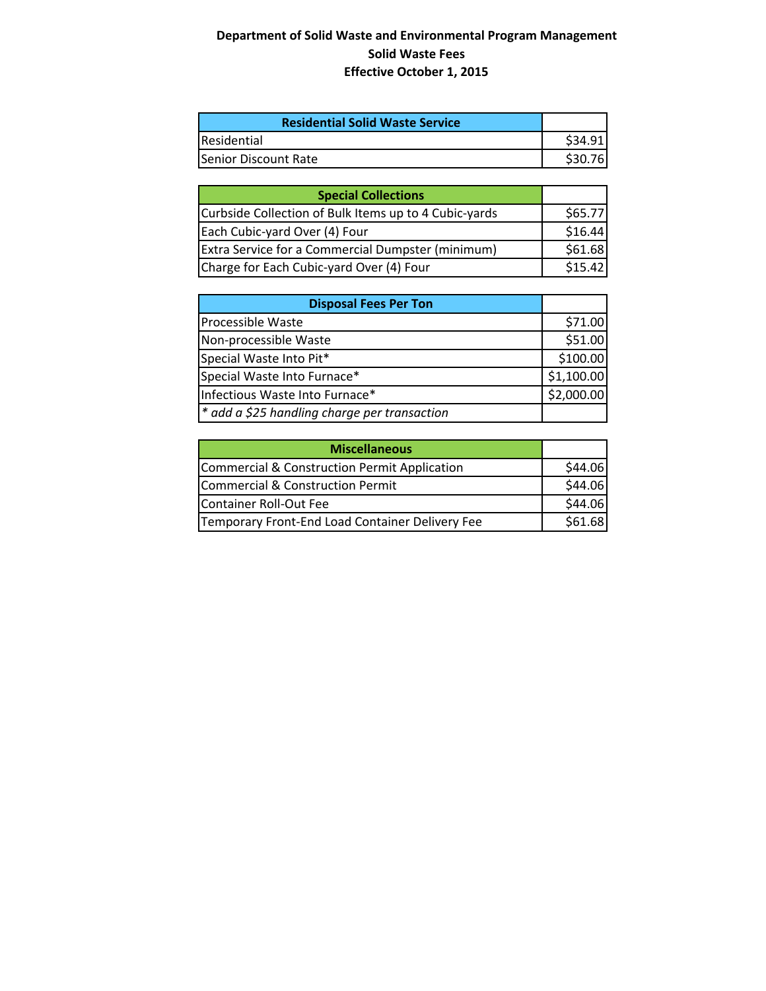# **Department of Solid Waste and Environmental Program Management Solid Waste Fees Effective October 1, 2015**

| <b>Residential Solid Waste Service</b> |         |
|----------------------------------------|---------|
| Residential                            | \$34.91 |
| <b>ISenior Discount Rate</b>           | \$30.76 |

| <b>Special Collections</b>                            |         |
|-------------------------------------------------------|---------|
| Curbside Collection of Bulk Items up to 4 Cubic-yards | \$65.77 |
| Each Cubic-yard Over (4) Four                         | \$16.44 |
| Extra Service for a Commercial Dumpster (minimum)     | \$61.68 |
| Charge for Each Cubic-yard Over (4) Four              | \$15.42 |

| <b>Disposal Fees Per Ton</b>                 |            |
|----------------------------------------------|------------|
| <b>Processible Waste</b>                     | \$71.00    |
| Non-processible Waste                        | \$51.00    |
| Special Waste Into Pit*                      | \$100.00   |
| Special Waste Into Furnace*                  | \$1,100.00 |
| Infectious Waste Into Furnace*               | \$2,000.00 |
| * add a \$25 handling charge per transaction |            |

| <b>Miscellaneous</b>                            |         |
|-------------------------------------------------|---------|
| Commercial & Construction Permit Application    | \$44.06 |
| Commercial & Construction Permit                | \$44.06 |
| Container Roll-Out Fee                          | \$44.06 |
| Temporary Front-End Load Container Delivery Fee | \$61.68 |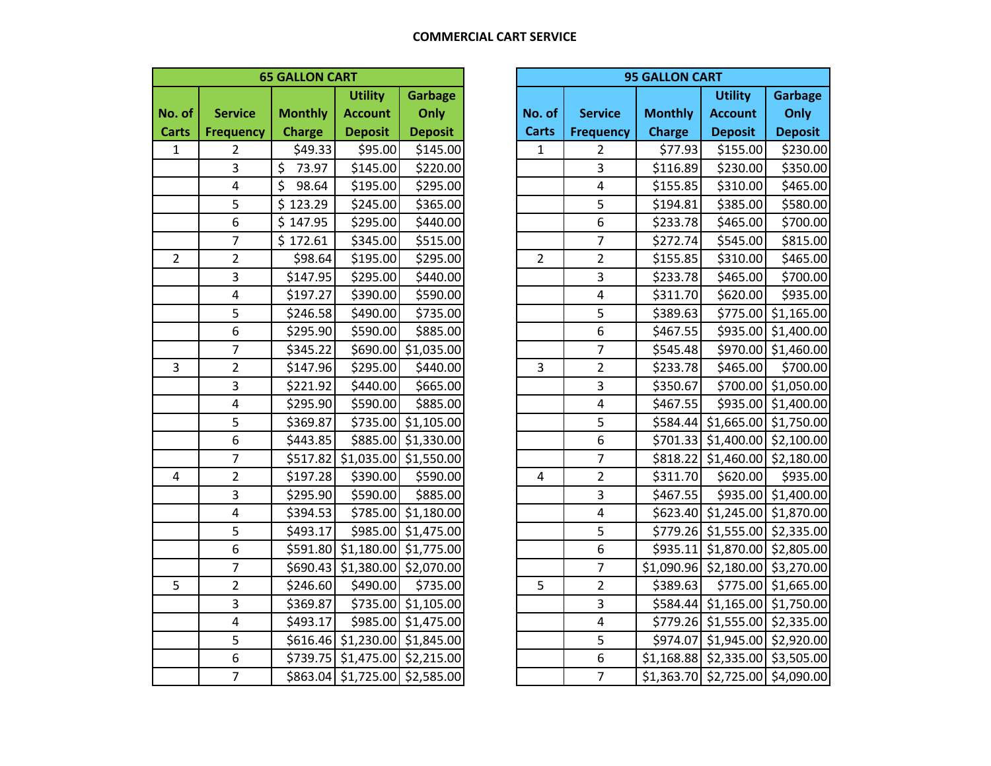| <b>65 GALLON CART</b> |                  |                                  |                        |                        |  |  |  |
|-----------------------|------------------|----------------------------------|------------------------|------------------------|--|--|--|
|                       |                  |                                  | <b>Garbage</b>         |                        |  |  |  |
| No. of                | <b>Service</b>   | <b>Monthly</b><br><b>Account</b> |                        | Only                   |  |  |  |
| <b>Carts</b>          | <b>Frequency</b> | <b>Charge</b>                    | <b>Deposit</b>         | <b>Deposit</b>         |  |  |  |
| $\mathbf{1}$          | $\overline{2}$   | \$49.33                          | \$95.00                | \$145.00               |  |  |  |
|                       | 3                | \$<br>73.97                      | \$145.00               | \$220.00               |  |  |  |
|                       | 4                | \$<br>98.64                      | \$195.00               | \$295.00               |  |  |  |
|                       | 5                | \$<br>123.29                     | \$245.00               | \$365.00               |  |  |  |
|                       | 6                | \$<br>147.95                     | \$295.00               | \$440.00               |  |  |  |
|                       | 7                | \$172.61                         | \$345.00               | \$515.00               |  |  |  |
| $\overline{2}$        | $\overline{2}$   | \$98.64                          | \$195.00               | \$295.00               |  |  |  |
|                       | 3                | \$147.95                         | \$295.00               | \$440.00               |  |  |  |
|                       | 4                | \$197.27                         | \$390.00               | \$590.00               |  |  |  |
|                       | 5                | \$246.58                         | \$490.00               | \$735.00               |  |  |  |
|                       | 6                | \$295.90                         | \$590.00               | \$885.00               |  |  |  |
|                       | 7                | \$345.22                         | \$690.00               | \$1,035.00             |  |  |  |
| 3                     | $\overline{2}$   | \$147.96                         | \$295.00               | \$440.00               |  |  |  |
|                       | 3                | \$221.92                         | \$440.00               | \$665.00               |  |  |  |
|                       | 4                | \$295.90                         | \$590.00               | \$885.00               |  |  |  |
|                       | 5                | \$369.87                         | \$735.00               | \$1,105.00             |  |  |  |
|                       | 6                | \$443.85                         | \$885.00               | \$1,330.00             |  |  |  |
|                       | 7                | \$517.82                         | \$1,035.00             | \$1,550.00             |  |  |  |
| 4                     | $\overline{2}$   | \$197.28                         | \$390.00               | \$590.00               |  |  |  |
|                       | 3                | \$295.90                         | \$590.00               | \$885.00               |  |  |  |
|                       | 4                | \$394.53                         | \$785.00               | \$1,180.00             |  |  |  |
|                       | 5                | \$493.17                         | \$985.00               | \$1,475.00             |  |  |  |
|                       | 6                | \$591.80                         | \$1,180.00             | \$1,775.00             |  |  |  |
|                       | 7                | \$690.43                         | \$1,380.00             | $\overline{$}2,070.00$ |  |  |  |
| 5                     | $\overline{2}$   | \$246.60                         | \$490.00               | \$735.00               |  |  |  |
|                       | 3                | \$369.87                         | \$735.00               | \$1,105.00             |  |  |  |
|                       | 4                | \$493.17                         | \$985.00               | \$1,475.00             |  |  |  |
|                       | 5                | \$616.46                         | \$1,230.00             | \$1,845.00             |  |  |  |
|                       | 6                | \$739.75                         | $\overline{$}1,475.00$ | $\overline{$2,215.00}$ |  |  |  |
|                       | $\overline{7}$   | \$863.04                         | \$1,725.00             | \$2,585.00             |  |  |  |

| <b>95 GALLON CART</b> |                  |                      |                                      |                |  |  |  |
|-----------------------|------------------|----------------------|--------------------------------------|----------------|--|--|--|
|                       |                  |                      | <b>Utility</b>                       | <b>Garbage</b> |  |  |  |
| No. of                | <b>Service</b>   | <b>Monthly</b>       | <b>Account</b>                       | Only           |  |  |  |
| <b>Carts</b>          | <b>Frequency</b> | <b>Charge</b>        | <b>Deposit</b>                       | <b>Deposit</b> |  |  |  |
| $\mathbf 1$           | $\overline{2}$   | \$77.93              | \$155.00                             | \$230.00       |  |  |  |
|                       | 3                | \$116.89             | \$230.00                             | \$350.00       |  |  |  |
|                       | 4                | \$155.85             | \$310.00                             | \$465.00       |  |  |  |
|                       | 5                | \$194.81             | \$385.00                             | \$580.00       |  |  |  |
|                       | 6                | \$233.78             | \$465.00                             | \$700.00       |  |  |  |
|                       | 7                | \$272.74             | \$545.00                             | \$815.00       |  |  |  |
| $\overline{c}$        | $\overline{2}$   | \$155.85             | \$310.00                             | \$465.00       |  |  |  |
|                       | 3                | \$233.78             | \$465.00                             | \$700.00       |  |  |  |
|                       | 4                | \$311.70             | \$620.00                             | \$935.00       |  |  |  |
|                       | 5                | \$389.63             | \$775.00                             | \$1,165.00     |  |  |  |
|                       | 6                | \$467.55             | \$935.00                             | \$1,400.00     |  |  |  |
|                       | 7                | \$545.48             | \$970.00                             | \$1,460.00     |  |  |  |
| 3                     | $\overline{2}$   | \$233.78             | \$465.00                             | \$700.00       |  |  |  |
|                       | 3                | \$350.67             | \$700.00                             | \$1,050.00     |  |  |  |
|                       | 4                | \$467.55             | \$935.00                             | \$1,400.00     |  |  |  |
|                       | 5                | \$584.44             | \$1,665.00                           | \$1,750.00     |  |  |  |
|                       | 6                | \$701.33             | \$1,400.00                           | \$2,100.00     |  |  |  |
|                       | 7                | \$818.22             | \$1,460.00                           | \$2,180.00     |  |  |  |
| 4                     | $\overline{2}$   | \$311.70             | \$620.00                             | \$935.00       |  |  |  |
|                       | 3                | \$467.55             | \$935.00                             | \$1,400.00     |  |  |  |
|                       | 4                | \$623.40             | \$1,245.00                           | \$1,870.00     |  |  |  |
|                       | 5                | \$779.26             | \$1,555.00                           | \$2,335.00     |  |  |  |
|                       | 6                | \$935.11             | \$1,870.00                           | \$2,805.00     |  |  |  |
|                       | 7                | \$1,090.96           | \$2,180.00                           | \$3,270.00     |  |  |  |
| 5                     | $\overline{2}$   | \$389.63<br>\$775.00 |                                      | \$1,665.00     |  |  |  |
|                       | 3                | \$584.44             | $\overline{51,}165.00$<br>\$1,750.00 |                |  |  |  |
|                       | 4                | \$779.26             | \$1,555.00<br>\$2,335.00             |                |  |  |  |
|                       | 5                | \$974.07             | \$1,945.00                           | \$2,920.00     |  |  |  |
|                       | 6                | \$1,168.88           | \$2,335.00                           | \$3,505.00     |  |  |  |
|                       | $\overline{7}$   |                      | \$1,363.70 \$2,725.00                | \$4,090.00     |  |  |  |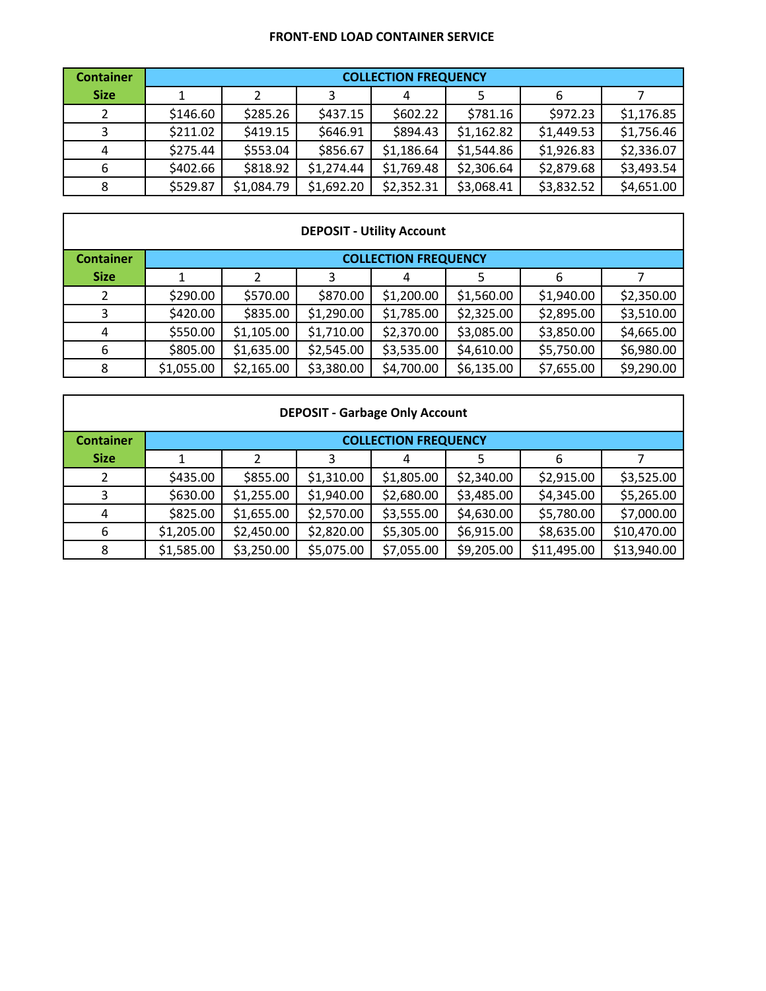### **FRONT‐END LOAD CONTAINER SERVICE**

| <b>Container</b> |          | <b>COLLECTION FREQUENCY</b> |            |            |            |            |            |  |
|------------------|----------|-----------------------------|------------|------------|------------|------------|------------|--|
| <b>Size</b>      |          |                             | 3          |            |            | 6          |            |  |
|                  | \$146.60 | \$285.26                    | \$437.15   | \$602.22\$ | \$781.16   | \$972.23   | \$1,176.85 |  |
|                  | \$211.02 | \$419.15                    | \$646.91   | \$894.43   | \$1,162.82 | \$1,449.53 | \$1,756.46 |  |
| 4                | \$275.44 | \$553.04                    | \$856.67   | \$1,186.64 | \$1,544.86 | \$1,926.83 | \$2,336.07 |  |
| 6                | \$402.66 | \$818.92                    | \$1,274.44 | \$1,769.48 | \$2,306.64 | \$2,879.68 | \$3,493.54 |  |
| 8                | \$529.87 | \$1,084.79                  | \$1,692.20 | \$2,352.31 | \$3,068.41 | \$3,832.52 | \$4,651.00 |  |

| <b>DEPOSIT - Utility Account</b> |            |                             |            |            |            |            |            |  |
|----------------------------------|------------|-----------------------------|------------|------------|------------|------------|------------|--|
| <b>Container</b>                 |            | <b>COLLECTION FREQUENCY</b> |            |            |            |            |            |  |
| <b>Size</b>                      |            |                             |            |            |            | 6          |            |  |
|                                  | \$290.00   | \$570.00                    | \$870.00   | \$1,200.00 | \$1,560.00 | \$1,940.00 | \$2,350.00 |  |
|                                  | \$420.00   | \$835.00                    | \$1,290.00 | \$1,785.00 | \$2,325.00 | \$2,895.00 | \$3,510.00 |  |
| 4                                | \$550.00   | \$1,105.00                  | \$1,710.00 | \$2,370.00 | \$3,085.00 | \$3,850.00 | \$4,665.00 |  |
| 6                                | \$805.00   | \$1,635.00                  | \$2,545.00 | \$3,535.00 | \$4,610.00 | \$5,750.00 | \$6,980.00 |  |
| 8                                | \$1,055.00 | \$2,165.00                  | \$3,380.00 | \$4,700.00 | \$6,135.00 | \$7,655.00 | \$9,290.00 |  |

| <b>DEPOSIT - Garbage Only Account</b> |            |                             |            |            |            |             |             |  |
|---------------------------------------|------------|-----------------------------|------------|------------|------------|-------------|-------------|--|
| <b>Container</b>                      |            | <b>COLLECTION FREQUENCY</b> |            |            |            |             |             |  |
| <b>Size</b>                           |            |                             |            |            |            | 6           |             |  |
|                                       | \$435.00   | \$855.00                    | \$1,310.00 | \$1,805.00 | \$2,340.00 | \$2,915.00  | \$3,525.00  |  |
| 3                                     | \$630.00   | \$1,255.00                  | \$1,940.00 | \$2,680.00 | \$3,485.00 | \$4,345.00  | \$5,265.00  |  |
| 4                                     | \$825.00   | \$1,655.00                  | \$2,570.00 | \$3,555.00 | \$4,630.00 | \$5,780.00  | \$7,000.00  |  |
| 6                                     | \$1,205.00 | \$2,450.00                  | \$2,820.00 | \$5,305.00 | \$6,915.00 | \$8,635.00  | \$10,470.00 |  |
| 8                                     | \$1,585.00 | \$3,250.00                  | \$5,075.00 | \$7,055.00 | \$9,205.00 | \$11,495.00 | \$13,940.00 |  |

'n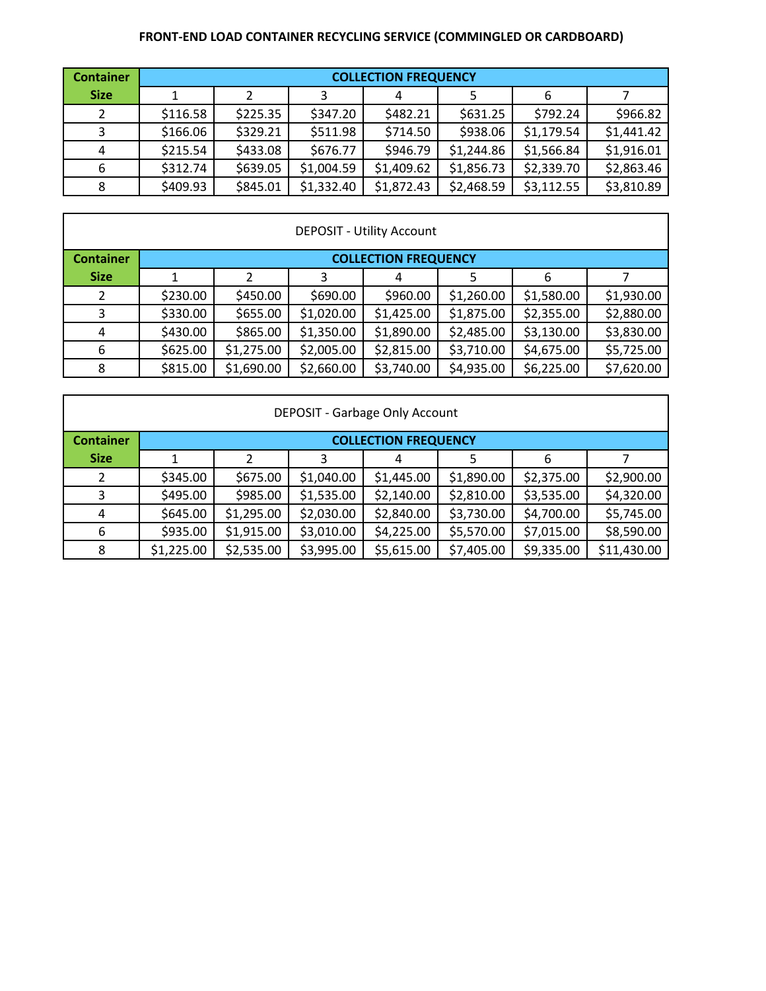## **FRONT‐END LOAD CONTAINER RECYCLING SERVICE (COMMINGLED OR CARDBOARD)**

| <b>Container</b> |          | <b>COLLECTION FREQUENCY</b> |            |            |            |            |            |  |  |
|------------------|----------|-----------------------------|------------|------------|------------|------------|------------|--|--|
| <b>Size</b>      |          |                             |            | 4          |            | 6          |            |  |  |
| 2                | \$116.58 | \$225.35                    | \$347.20   | \$482.21   | \$631.25   | \$792.24   | \$966.82   |  |  |
| 3                | \$166.06 | \$329.21                    | \$511.98   | \$714.50   | \$938.06   | \$1,179.54 | \$1,441.42 |  |  |
| 4                | \$215.54 | \$433.08                    | \$676.77   | \$946.79   | \$1,244.86 | \$1,566.84 | \$1,916.01 |  |  |
| 6                | \$312.74 | \$639.05                    | \$1,004.59 | \$1,409.62 | \$1,856.73 | \$2,339.70 | \$2,863.46 |  |  |
| 8                | \$409.93 | \$845.01                    | \$1,332.40 | \$1,872.43 | \$2,468.59 | \$3,112.55 | \$3,810.89 |  |  |

| <b>DEPOSIT - Utility Account</b> |          |                             |            |            |            |            |            |  |  |
|----------------------------------|----------|-----------------------------|------------|------------|------------|------------|------------|--|--|
| <b>Container</b>                 |          | <b>COLLECTION FREQUENCY</b> |            |            |            |            |            |  |  |
| <b>Size</b>                      |          |                             |            |            |            | 6          |            |  |  |
|                                  | \$230.00 | \$450.00                    | \$690.00   | \$960.00   | \$1,260.00 | \$1,580.00 | \$1,930.00 |  |  |
| 3                                | \$330.00 | \$655.00                    | \$1,020.00 | \$1,425.00 | \$1,875.00 | \$2,355.00 | \$2,880.00 |  |  |
| 4                                | \$430.00 | \$865.00                    | \$1,350.00 | \$1,890.00 | \$2,485.00 | \$3,130.00 | \$3,830.00 |  |  |
| 6                                | \$625.00 | \$1,275.00                  | \$2,005.00 | \$2,815.00 | \$3,710.00 | \$4,675.00 | \$5,725.00 |  |  |
| 8                                | \$815.00 | \$1,690.00                  | \$2,660.00 | \$3,740.00 | \$4,935.00 | \$6,225.00 | \$7,620.00 |  |  |

| DEPOSIT - Garbage Only Account |            |                             |            |            |            |            |             |  |  |
|--------------------------------|------------|-----------------------------|------------|------------|------------|------------|-------------|--|--|
| <b>Container</b>               |            | <b>COLLECTION FREQUENCY</b> |            |            |            |            |             |  |  |
| <b>Size</b>                    |            |                             |            |            |            | 6          |             |  |  |
| 2                              | \$345.00   | \$675.00                    | \$1,040.00 | \$1,445.00 | \$1,890.00 | \$2,375.00 | \$2,900.00  |  |  |
| 3                              | \$495.00   | \$985.00                    | \$1,535.00 | \$2,140.00 | \$2,810.00 | \$3,535.00 | \$4,320.00  |  |  |
| 4                              | \$645.00   | \$1,295.00                  | \$2,030.00 | \$2,840.00 | \$3,730.00 | \$4,700.00 | \$5,745.00  |  |  |
| 6                              | \$935.00   | \$1,915.00                  | \$3,010.00 | \$4,225.00 | \$5,570.00 | \$7,015.00 | \$8,590.00  |  |  |
| 8                              | \$1,225.00 | \$2,535.00                  | \$3,995.00 | \$5,615.00 | \$7,405.00 | \$9,335.00 | \$11,430.00 |  |  |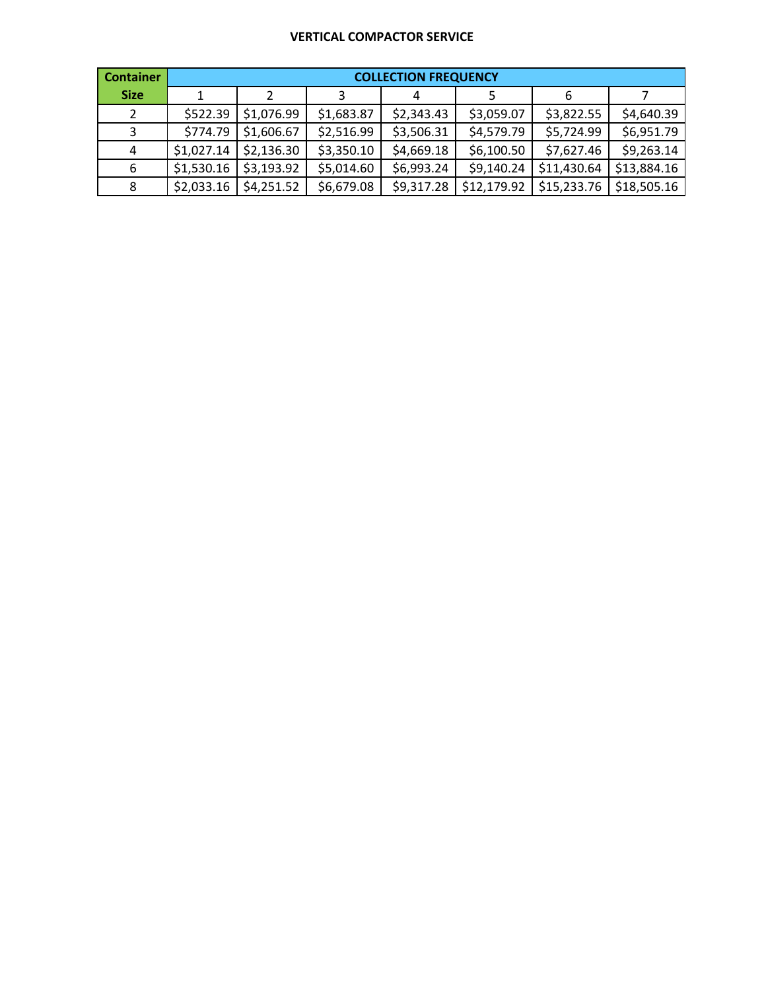### **VERTICAL COMPACTOR SERVICE**

| <b>Container</b> | <b>COLLECTION FREQUENCY</b> |            |            |            |             |             |             |  |  |  |  |
|------------------|-----------------------------|------------|------------|------------|-------------|-------------|-------------|--|--|--|--|
| <b>Size</b>      |                             | 2          |            | 4          |             | 6           |             |  |  |  |  |
| 2                | \$522.39                    | \$1,076.99 | \$1,683.87 | \$2,343.43 | \$3,059.07  | \$3,822.55  | \$4,640.39  |  |  |  |  |
| 3                | \$774.79                    | \$1,606.67 | \$2,516.99 | \$3,506.31 | \$4,579.79  | \$5,724.99  | \$6,951.79  |  |  |  |  |
| 4                | \$1,027.14                  | \$2,136.30 | \$3,350.10 | \$4,669.18 | \$6,100.50  | \$7,627.46  | \$9,263.14  |  |  |  |  |
| 6                | \$1,530.16                  | \$3,193.92 | \$5,014.60 | \$6,993.24 | \$9,140.24  | \$11,430.64 | \$13,884.16 |  |  |  |  |
| 8                | \$2,033.16                  | \$4,251.52 | \$6,679.08 | \$9,317.28 | \$12,179.92 | \$15,233.76 | \$18,505.16 |  |  |  |  |